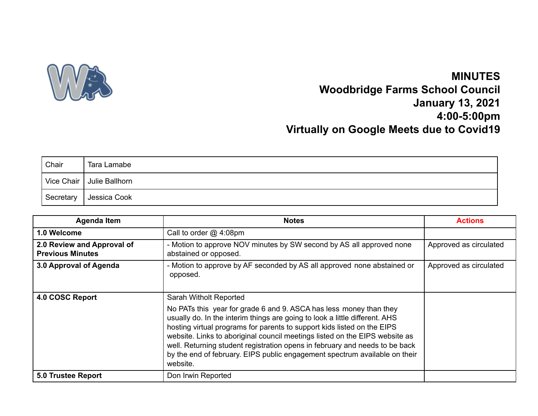

## **MINUTES Woodbridge Farms School Council January 13, 2021 4:00-5:00pm Virtually on Google Meets due to Covid19**

| Chair      | Tara Lamabe    |
|------------|----------------|
| Vice Chair | Julie Ballhorn |
| Secretary  | Jessica Cook   |

| Agenda Item                                           | <b>Notes</b>                                                                                                                                                                                                                                                                                                                                                                                                                                                                                                   | <b>Actions</b>         |
|-------------------------------------------------------|----------------------------------------------------------------------------------------------------------------------------------------------------------------------------------------------------------------------------------------------------------------------------------------------------------------------------------------------------------------------------------------------------------------------------------------------------------------------------------------------------------------|------------------------|
| 1.0 Welcome                                           | Call to order $@$ 4:08pm                                                                                                                                                                                                                                                                                                                                                                                                                                                                                       |                        |
| 2.0 Review and Approval of<br><b>Previous Minutes</b> | - Motion to approve NOV minutes by SW second by AS all approved none<br>abstained or opposed.                                                                                                                                                                                                                                                                                                                                                                                                                  | Approved as circulated |
| 3.0 Approval of Agenda                                | - Motion to approve by AF seconded by AS all approved none abstained or<br>opposed.                                                                                                                                                                                                                                                                                                                                                                                                                            | Approved as circulated |
| 4.0 COSC Report                                       | Sarah Witholt Reported<br>No PATs this year for grade 6 and 9. ASCA has less money than they<br>usually do. In the interim things are going to look a little different. AHS<br>hosting virtual programs for parents to support kids listed on the EIPS<br>website. Links to aboriginal council meetings listed on the EIPS website as<br>well. Returning student registration opens in february and needs to be back<br>by the end of february. EIPS public engagement spectrum available on their<br>website. |                        |
| <b>5.0 Trustee Report</b>                             | Don Irwin Reported                                                                                                                                                                                                                                                                                                                                                                                                                                                                                             |                        |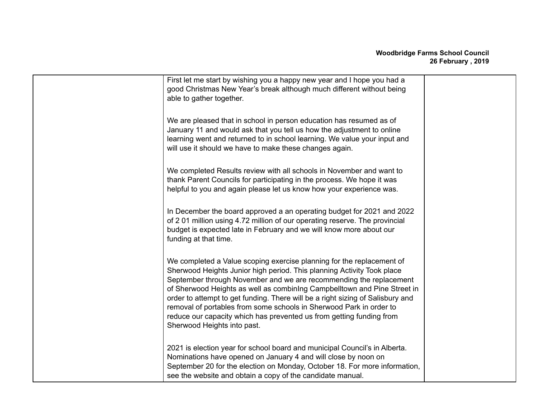| First let me start by wishing you a happy new year and I hope you had a<br>good Christmas New Year's break although much different without being<br>able to gather together.                                                                                                                                                                                                                                                                                                                                                                                      |  |
|-------------------------------------------------------------------------------------------------------------------------------------------------------------------------------------------------------------------------------------------------------------------------------------------------------------------------------------------------------------------------------------------------------------------------------------------------------------------------------------------------------------------------------------------------------------------|--|
| We are pleased that in school in person education has resumed as of<br>January 11 and would ask that you tell us how the adjustment to online<br>learning went and returned to in school learning. We value your input and<br>will use it should we have to make these changes again.                                                                                                                                                                                                                                                                             |  |
| We completed Results review with all schools in November and want to<br>thank Parent Councils for participating in the process. We hope it was<br>helpful to you and again please let us know how your experience was.                                                                                                                                                                                                                                                                                                                                            |  |
| In December the board approved a an operating budget for 2021 and 2022<br>of 201 million using 4.72 million of our operating reserve. The provincial<br>budget is expected late in February and we will know more about our<br>funding at that time.                                                                                                                                                                                                                                                                                                              |  |
| We completed a Value scoping exercise planning for the replacement of<br>Sherwood Heights Junior high period. This planning Activity Took place<br>September through November and we are recommending the replacement<br>of Sherwood Heights as well as combining Campbelltown and Pine Street in<br>order to attempt to get funding. There will be a right sizing of Salisbury and<br>removal of portables from some schools in Sherwood Park in order to<br>reduce our capacity which has prevented us from getting funding from<br>Sherwood Heights into past. |  |
| 2021 is election year for school board and municipal Council's in Alberta.<br>Nominations have opened on January 4 and will close by noon on<br>September 20 for the election on Monday, October 18. For more information,<br>see the website and obtain a copy of the candidate manual.                                                                                                                                                                                                                                                                          |  |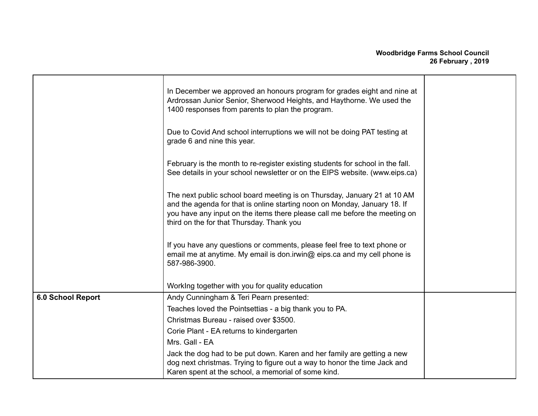|                   | In December we approved an honours program for grades eight and nine at<br>Ardrossan Junior Senior, Sherwood Heights, and Haythorne. We used the<br>1400 responses from parents to plan the program.                                                                             |  |
|-------------------|----------------------------------------------------------------------------------------------------------------------------------------------------------------------------------------------------------------------------------------------------------------------------------|--|
|                   | Due to Covid And school interruptions we will not be doing PAT testing at<br>grade 6 and nine this year.                                                                                                                                                                         |  |
|                   | February is the month to re-register existing students for school in the fall.<br>See details in your school newsletter or on the EIPS website. (www.eips.ca)                                                                                                                    |  |
|                   | The next public school board meeting is on Thursday, January 21 at 10 AM<br>and the agenda for that is online starting noon on Monday, January 18. If<br>you have any input on the items there please call me before the meeting on<br>third on the for that Thursday. Thank you |  |
|                   | If you have any questions or comments, please feel free to text phone or<br>email me at anytime. My email is don.irwin@ eips.ca and my cell phone is<br>587-986-3900.                                                                                                            |  |
|                   | Working together with you for quality education                                                                                                                                                                                                                                  |  |
| 6.0 School Report | Andy Cunningham & Teri Pearn presented:                                                                                                                                                                                                                                          |  |
|                   | Teaches loved the Pointsettias - a big thank you to PA.                                                                                                                                                                                                                          |  |
|                   | Christmas Bureau - raised over \$3500.                                                                                                                                                                                                                                           |  |
|                   | Corie Plant - EA returns to kindergarten                                                                                                                                                                                                                                         |  |
|                   | Mrs. Gall - EA                                                                                                                                                                                                                                                                   |  |
|                   | Jack the dog had to be put down. Karen and her family are getting a new<br>dog next christmas. Trying to figure out a way to honor the time Jack and<br>Karen spent at the school, a memorial of some kind.                                                                      |  |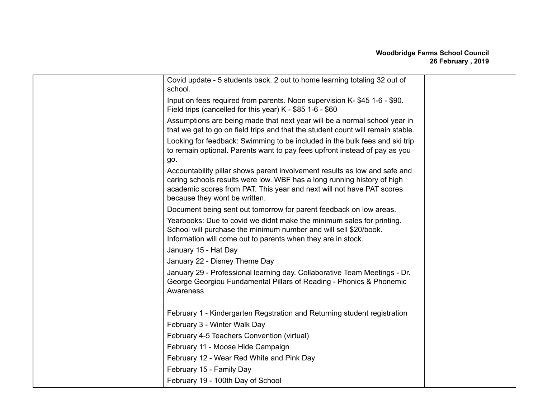## **Woodbridge Farms School Council 26 February , 2019**

| Covid update - 5 students back. 2 out to home learning totaling 32 out of<br>school.                                                                                                                                                                                   |  |
|------------------------------------------------------------------------------------------------------------------------------------------------------------------------------------------------------------------------------------------------------------------------|--|
| Input on fees required from parents. Noon supervision K-\$45 1-6 - \$90.<br>Field trips (cancelled for this year) K - \$85 1-6 - \$60                                                                                                                                  |  |
| Assumptions are being made that next year will be a normal school year in<br>that we get to go on field trips and that the student count will remain stable.                                                                                                           |  |
| Looking for feedback: Swimming to be included in the bulk fees and ski trip<br>to remain optional. Parents want to pay fees upfront instead of pay as you                                                                                                              |  |
| go.<br>Accountability pillar shows parent involvement results as low and safe and<br>caring schools results were low. WBF has a long running history of high<br>academic scores from PAT. This year and next will not have PAT scores<br>because they wont be written. |  |
| Document being sent out tomorrow for parent feedback on low areas.                                                                                                                                                                                                     |  |
| Yearbooks: Due to covid we didnt make the minimum sales for printing.<br>School will purchase the minimum number and will sell \$20/book.<br>Information will come out to parents when they are in stock.                                                              |  |
| January 15 - Hat Day                                                                                                                                                                                                                                                   |  |
| January 22 - Disney Theme Day                                                                                                                                                                                                                                          |  |
| January 29 - Professional learning day. Collaborative Team Meetings - Dr.<br>George Georgiou Fundamental Pillars of Reading - Phonics & Phonemic<br>Awareness                                                                                                          |  |
| February 1 - Kindergarten Regstration and Returning student registration                                                                                                                                                                                               |  |
| February 3 - Winter Walk Day                                                                                                                                                                                                                                           |  |
| February 4-5 Teachers Convention (virtual)                                                                                                                                                                                                                             |  |
| February 11 - Moose Hide Campaign                                                                                                                                                                                                                                      |  |
| February 12 - Wear Red White and Pink Day                                                                                                                                                                                                                              |  |
| February 15 - Family Day                                                                                                                                                                                                                                               |  |
| February 19 - 100th Day of School                                                                                                                                                                                                                                      |  |